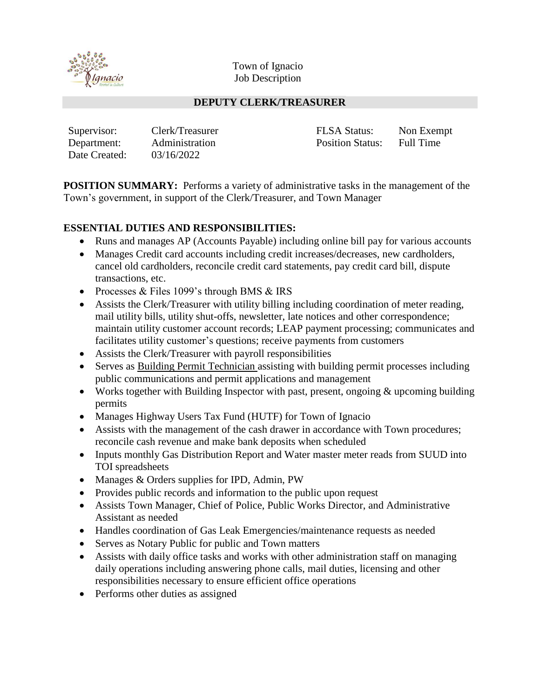

Town of Ignacio Job Description

#### **DEPUTY CLERK/TREASURER**

| Supervisor:   | Clerk/Treasurer | <b>FLSA Status:</b>     | Non Exempt |
|---------------|-----------------|-------------------------|------------|
| Department:   | Administration  | <b>Position Status:</b> | Full Time  |
| Date Created: | 03/16/2022      |                         |            |

**POSITION SUMMARY:** Performs a variety of administrative tasks in the management of the Town's government, in support of the Clerk/Treasurer, and Town Manager

#### **ESSENTIAL DUTIES AND RESPONSIBILITIES:**

- Runs and manages AP (Accounts Payable) including online bill pay for various accounts
- Manages Credit card accounts including credit increases/decreases, new cardholders, cancel old cardholders, reconcile credit card statements, pay credit card bill, dispute transactions, etc.
- Processes & Files 1099's through BMS & IRS
- Assists the Clerk/Treasurer with utility billing including coordination of meter reading, mail utility bills, utility shut-offs, newsletter, late notices and other correspondence; maintain utility customer account records; LEAP payment processing; communicates and facilitates utility customer's questions; receive payments from customers
- Assists the Clerk/Treasurer with payroll responsibilities
- Serves as Building Permit Technician assisting with building permit processes including public communications and permit applications and management
- Works together with Building Inspector with past, present, ongoing & upcoming building permits
- Manages Highway Users Tax Fund (HUTF) for Town of Ignacio
- Assists with the management of the cash drawer in accordance with Town procedures; reconcile cash revenue and make bank deposits when scheduled
- Inputs monthly Gas Distribution Report and Water master meter reads from SUUD into TOI spreadsheets
- Manages & Orders supplies for IPD, Admin, PW
- Provides public records and information to the public upon request
- Assists Town Manager, Chief of Police, Public Works Director, and Administrative Assistant as needed
- Handles coordination of Gas Leak Emergencies/maintenance requests as needed
- Serves as Notary Public for public and Town matters
- Assists with daily office tasks and works with other administration staff on managing daily operations including answering phone calls, mail duties, licensing and other responsibilities necessary to ensure efficient office operations
- Performs other duties as assigned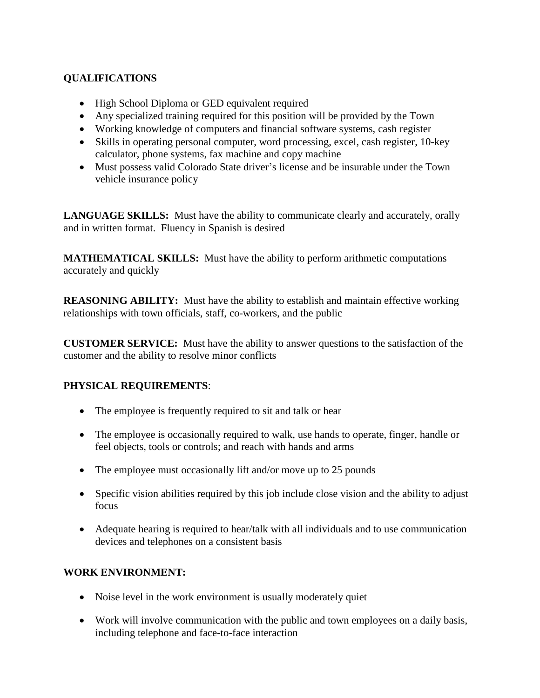# **QUALIFICATIONS**

- High School Diploma or GED equivalent required
- Any specialized training required for this position will be provided by the Town
- Working knowledge of computers and financial software systems, cash register
- Skills in operating personal computer, word processing, excel, cash register, 10-key calculator, phone systems, fax machine and copy machine
- Must possess valid Colorado State driver's license and be insurable under the Town vehicle insurance policy

**LANGUAGE SKILLS:** Must have the ability to communicate clearly and accurately, orally and in written format. Fluency in Spanish is desired

**MATHEMATICAL SKILLS:** Must have the ability to perform arithmetic computations accurately and quickly

**REASONING ABILITY:** Must have the ability to establish and maintain effective working relationships with town officials, staff, co-workers, and the public

**CUSTOMER SERVICE:** Must have the ability to answer questions to the satisfaction of the customer and the ability to resolve minor conflicts

## **PHYSICAL REQUIREMENTS**:

- The employee is frequently required to sit and talk or hear
- The employee is occasionally required to walk, use hands to operate, finger, handle or feel objects, tools or controls; and reach with hands and arms
- The employee must occasionally lift and/or move up to 25 pounds
- Specific vision abilities required by this job include close vision and the ability to adjust focus
- Adequate hearing is required to hear/talk with all individuals and to use communication devices and telephones on a consistent basis

## **WORK ENVIRONMENT:**

- Noise level in the work environment is usually moderately quiet
- Work will involve communication with the public and town employees on a daily basis, including telephone and face-to-face interaction